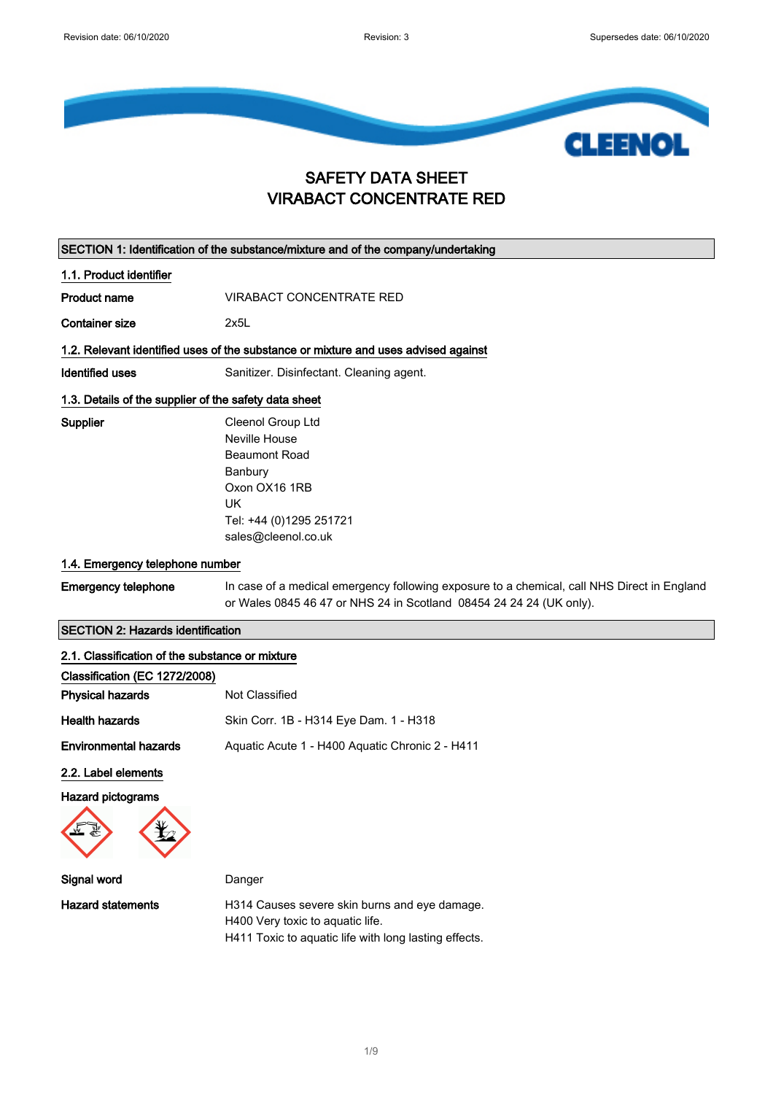

# SAFETY DATA SHEET VIRABACT CONCENTRATE RED

|                                                       | SECTION 1: Identification of the substance/mixture and of the company/undertaking                                                                                  |
|-------------------------------------------------------|--------------------------------------------------------------------------------------------------------------------------------------------------------------------|
| 1.1. Product identifier                               |                                                                                                                                                                    |
| <b>Product name</b>                                   | <b>VIRABACT CONCENTRATE RED</b>                                                                                                                                    |
| <b>Container size</b>                                 | 2x5L                                                                                                                                                               |
|                                                       | 1.2. Relevant identified uses of the substance or mixture and uses advised against                                                                                 |
| Identified uses                                       | Sanitizer. Disinfectant. Cleaning agent.                                                                                                                           |
| 1.3. Details of the supplier of the safety data sheet |                                                                                                                                                                    |
| Supplier<br>1.4. Emergency telephone number           | Cleenol Group Ltd<br>Neville House<br><b>Beaumont Road</b><br>Banbury<br>Oxon OX16 1RB<br><b>UK</b><br>Tel: +44 (0)1295 251721<br>sales@cleenol.co.uk              |
| <b>Emergency telephone</b>                            | In case of a medical emergency following exposure to a chemical, call NHS Direct in England<br>or Wales 0845 46 47 or NHS 24 in Scotland 08454 24 24 24 (UK only). |
| <b>SECTION 2: Hazards identification</b>              |                                                                                                                                                                    |
| 2.1. Classification of the substance or mixture       |                                                                                                                                                                    |
| Classification (EC 1272/2008)                         |                                                                                                                                                                    |
| <b>Physical hazards</b>                               | Not Classified                                                                                                                                                     |
| <b>Health hazards</b>                                 | Skin Corr. 1B - H314 Eye Dam. 1 - H318                                                                                                                             |

Environmental hazards Aquatic Acute 1 - H400 Aquatic Chronic 2 - H411

2.2. Label elements

Hazard pictograms



Signal word **Danger** Hazard statements **H314 Causes severe skin burns and eye damage.** H400 Very toxic to aquatic life.

H411 Toxic to aquatic life with long lasting effects.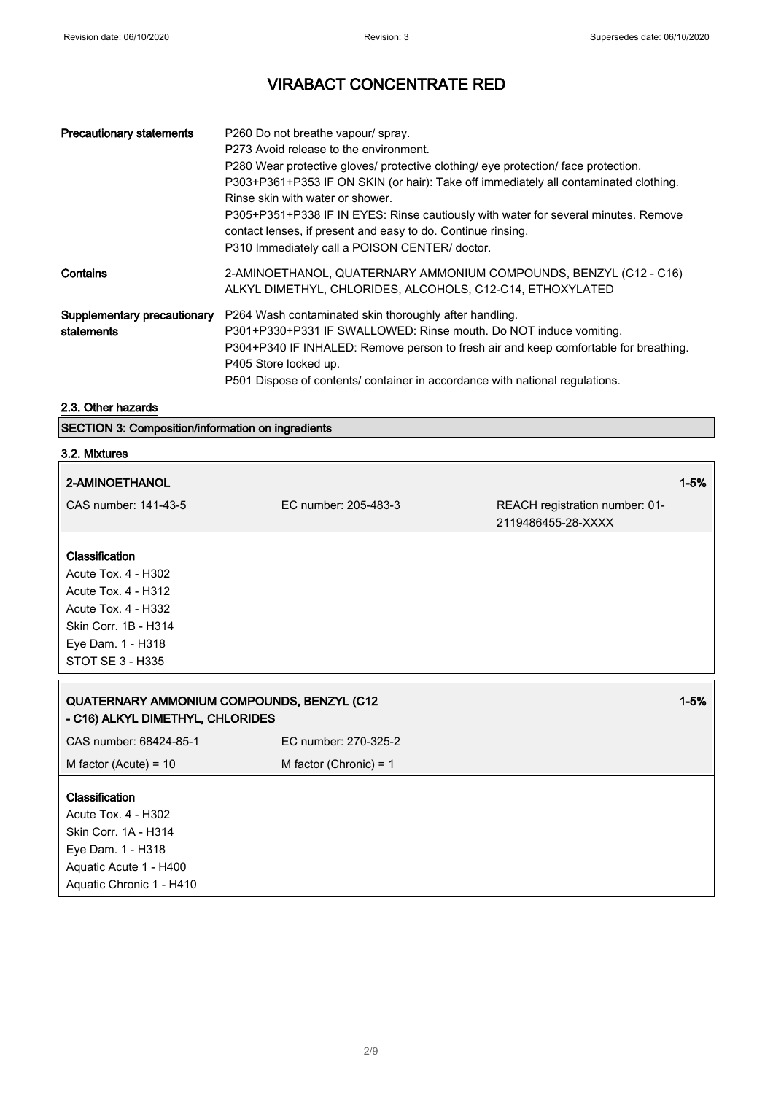┑

# VIRABACT CONCENTRATE RED

| <b>Precautionary statements</b>           | P260 Do not breathe vapour/ spray.<br>P273 Avoid release to the environment.<br>P280 Wear protective gloves/ protective clothing/ eye protection/ face protection.<br>P303+P361+P353 IF ON SKIN (or hair): Take off immediately all contaminated clothing.<br>Rinse skin with water or shower.<br>P305+P351+P338 IF IN EYES: Rinse cautiously with water for several minutes. Remove<br>contact lenses, if present and easy to do. Continue rinsing.<br>P310 Immediately call a POISON CENTER/ doctor. |
|-------------------------------------------|--------------------------------------------------------------------------------------------------------------------------------------------------------------------------------------------------------------------------------------------------------------------------------------------------------------------------------------------------------------------------------------------------------------------------------------------------------------------------------------------------------|
| Contains                                  | 2-AMINOETHANOL, QUATERNARY AMMONIUM COMPOUNDS, BENZYL (C12 - C16)<br>ALKYL DIMETHYL, CHLORIDES, ALCOHOLS, C12-C14, ETHOXYLATED                                                                                                                                                                                                                                                                                                                                                                         |
| Supplementary precautionary<br>statements | P264 Wash contaminated skin thoroughly after handling.<br>P301+P330+P331 IF SWALLOWED: Rinse mouth. Do NOT induce vomiting.<br>P304+P340 IF INHALED: Remove person to fresh air and keep comfortable for breathing.<br>P405 Store locked up.<br>P501 Dispose of contents/ container in accordance with national regulations.                                                                                                                                                                           |

## 2.3. Other hazards

#### SECTION 3: Composition/information on ingredients

| SECTION 3: Composition/information on ingredients                                                            |                          |                                                      |          |
|--------------------------------------------------------------------------------------------------------------|--------------------------|------------------------------------------------------|----------|
| 3.2. Mixtures                                                                                                |                          |                                                      |          |
| 2-AMINOETHANOL                                                                                               |                          |                                                      | $1 - 5%$ |
| CAS number: 141-43-5                                                                                         | EC number: 205-483-3     | REACH registration number: 01-<br>2119486455-28-XXXX |          |
| Classification                                                                                               |                          |                                                      |          |
| Acute Tox. 4 - H302                                                                                          |                          |                                                      |          |
| Acute Tox. 4 - H312                                                                                          |                          |                                                      |          |
| <b>Acute Tox. 4 - H332</b>                                                                                   |                          |                                                      |          |
| Skin Corr. 1B - H314                                                                                         |                          |                                                      |          |
| Eye Dam. 1 - H318                                                                                            |                          |                                                      |          |
| <b>STOT SE 3 - H335</b>                                                                                      |                          |                                                      |          |
| QUATERNARY AMMONIUM COMPOUNDS, BENZYL (C12<br>- C16) ALKYL DIMETHYL, CHLORIDES                               |                          |                                                      | $1 - 5%$ |
| CAS number: 68424-85-1                                                                                       | EC number: 270-325-2     |                                                      |          |
| M factor (Acute) = $10$                                                                                      | M factor (Chronic) = $1$ |                                                      |          |
| Classification<br>Acute Tox. 4 - H302<br>Skin Corr. 1A - H314<br>Eye Dam. 1 - H318<br>Aquatic Acute 1 - H400 |                          |                                                      |          |
| Aquatic Chronic 1 - H410                                                                                     |                          |                                                      |          |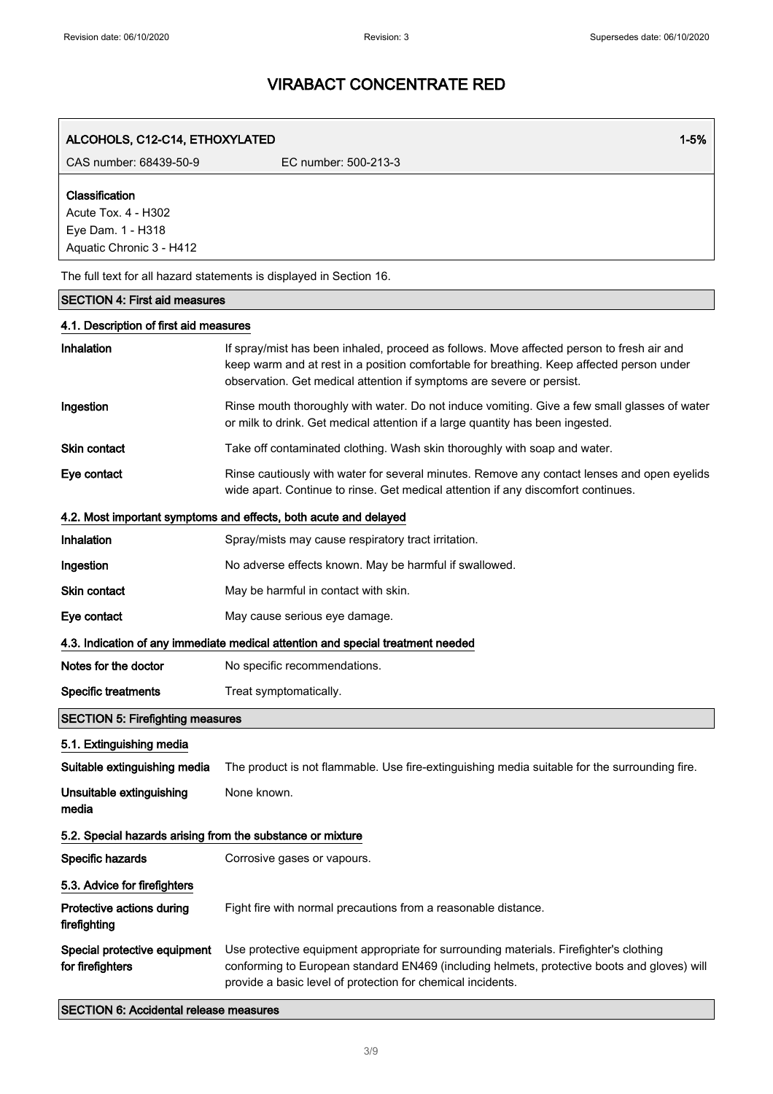| ALCOHOLS, C12-C14, ETHOXYLATED                                                         | $1 - 5%$                                                                                                                                                                                                                                                        |
|----------------------------------------------------------------------------------------|-----------------------------------------------------------------------------------------------------------------------------------------------------------------------------------------------------------------------------------------------------------------|
| CAS number: 68439-50-9                                                                 | EC number: 500-213-3                                                                                                                                                                                                                                            |
| Classification<br>Acute Tox. 4 - H302<br>Eye Dam. 1 - H318<br>Aquatic Chronic 3 - H412 |                                                                                                                                                                                                                                                                 |
|                                                                                        | The full text for all hazard statements is displayed in Section 16.                                                                                                                                                                                             |
| <b>SECTION 4: First aid measures</b>                                                   |                                                                                                                                                                                                                                                                 |
| 4.1. Description of first aid measures                                                 |                                                                                                                                                                                                                                                                 |
| Inhalation                                                                             | If spray/mist has been inhaled, proceed as follows. Move affected person to fresh air and<br>keep warm and at rest in a position comfortable for breathing. Keep affected person under<br>observation. Get medical attention if symptoms are severe or persist. |
| Ingestion                                                                              | Rinse mouth thoroughly with water. Do not induce vomiting. Give a few small glasses of water<br>or milk to drink. Get medical attention if a large quantity has been ingested.                                                                                  |
| <b>Skin contact</b>                                                                    | Take off contaminated clothing. Wash skin thoroughly with soap and water.                                                                                                                                                                                       |
| Eye contact                                                                            | Rinse cautiously with water for several minutes. Remove any contact lenses and open eyelids<br>wide apart. Continue to rinse. Get medical attention if any discomfort continues.                                                                                |
|                                                                                        | 4.2. Most important symptoms and effects, both acute and delayed                                                                                                                                                                                                |
| Inhalation                                                                             | Spray/mists may cause respiratory tract irritation.                                                                                                                                                                                                             |
| Ingestion                                                                              | No adverse effects known. May be harmful if swallowed.                                                                                                                                                                                                          |
| <b>Skin contact</b>                                                                    | May be harmful in contact with skin.                                                                                                                                                                                                                            |
| Eye contact                                                                            | May cause serious eye damage.                                                                                                                                                                                                                                   |
|                                                                                        | 4.3. Indication of any immediate medical attention and special treatment needed                                                                                                                                                                                 |
| Notes for the doctor                                                                   | No specific recommendations.                                                                                                                                                                                                                                    |
| <b>Specific treatments</b>                                                             | Treat symptomatically.                                                                                                                                                                                                                                          |
| <b>SECTION 5: Firefighting measures</b>                                                |                                                                                                                                                                                                                                                                 |
| 5.1. Extinguishing media                                                               |                                                                                                                                                                                                                                                                 |
| Suitable extinguishing media                                                           | The product is not flammable. Use fire-extinguishing media suitable for the surrounding fire.                                                                                                                                                                   |
| Unsuitable extinguishing<br>media                                                      | None known.                                                                                                                                                                                                                                                     |
| 5.2. Special hazards arising from the substance or mixture                             |                                                                                                                                                                                                                                                                 |
| Specific hazards                                                                       | Corrosive gases or vapours.                                                                                                                                                                                                                                     |
| 5.3. Advice for firefighters                                                           |                                                                                                                                                                                                                                                                 |
| Protective actions during<br>firefighting                                              | Fight fire with normal precautions from a reasonable distance.                                                                                                                                                                                                  |
| Special protective equipment<br>for firefighters                                       | Use protective equipment appropriate for surrounding materials. Firefighter's clothing<br>conforming to European standard EN469 (including helmets, protective boots and gloves) will<br>provide a basic level of protection for chemical incidents.            |
| <b>SECTION 6: Accidental release measures</b>                                          |                                                                                                                                                                                                                                                                 |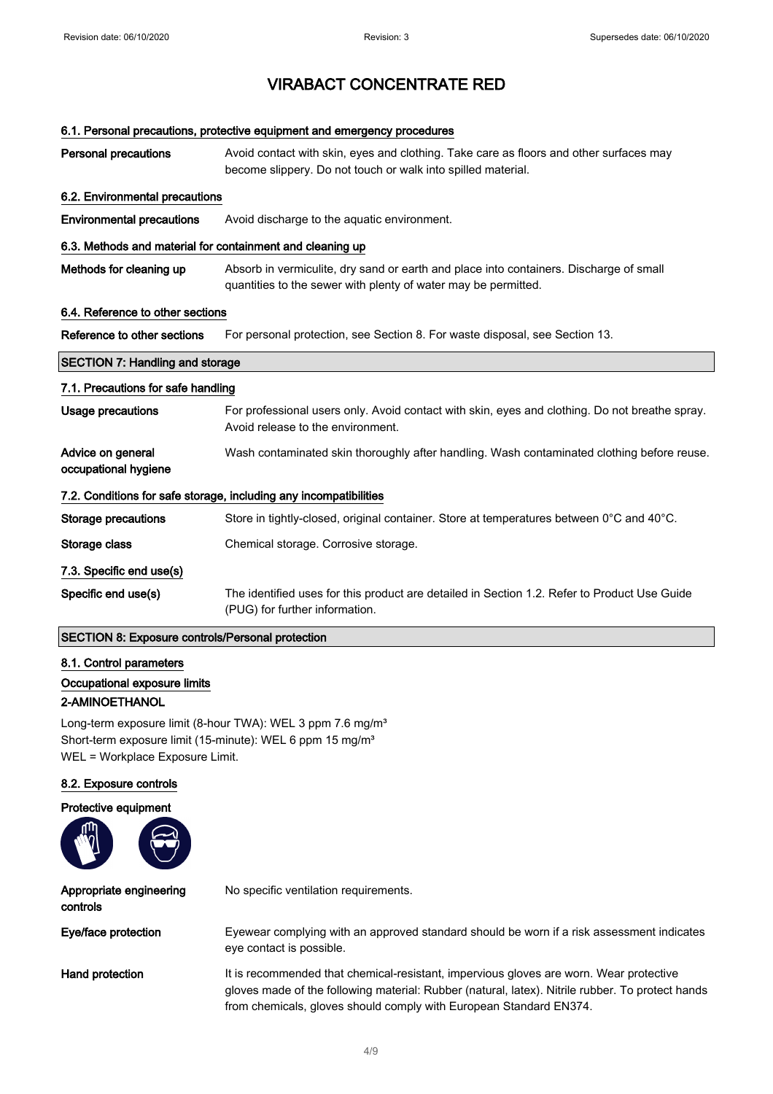### 6.1. Personal precautions, protective equipment and emergency procedures

| <b>Personal precautions</b>                                       | Avoid contact with skin, eyes and clothing. Take care as floors and other surfaces may<br>become slippery. Do not touch or walk into spilled material.   |  |  |
|-------------------------------------------------------------------|----------------------------------------------------------------------------------------------------------------------------------------------------------|--|--|
| 6.2. Environmental precautions                                    |                                                                                                                                                          |  |  |
| <b>Environmental precautions</b>                                  | Avoid discharge to the aquatic environment.                                                                                                              |  |  |
| 6.3. Methods and material for containment and cleaning up         |                                                                                                                                                          |  |  |
| Methods for cleaning up                                           | Absorb in vermiculite, dry sand or earth and place into containers. Discharge of small<br>quantities to the sewer with plenty of water may be permitted. |  |  |
| 6.4. Reference to other sections                                  |                                                                                                                                                          |  |  |
| Reference to other sections                                       | For personal protection, see Section 8. For waste disposal, see Section 13.                                                                              |  |  |
| <b>SECTION 7: Handling and storage</b>                            |                                                                                                                                                          |  |  |
| 7.1. Precautions for safe handling                                |                                                                                                                                                          |  |  |
| Usage precautions                                                 | For professional users only. Avoid contact with skin, eyes and clothing. Do not breathe spray.<br>Avoid release to the environment.                      |  |  |
| Advice on general<br>occupational hygiene                         | Wash contaminated skin thoroughly after handling. Wash contaminated clothing before reuse.                                                               |  |  |
| 7.2. Conditions for safe storage, including any incompatibilities |                                                                                                                                                          |  |  |
| <b>Storage precautions</b>                                        | Store in tightly-closed, original container. Store at temperatures between 0°C and 40°C.                                                                 |  |  |
| Storage class                                                     | Chemical storage. Corrosive storage.                                                                                                                     |  |  |
| 7.3. Specific end use(s)                                          |                                                                                                                                                          |  |  |
| Specific end use(s)                                               | The identified uses for this product are detailed in Section 1.2. Refer to Product Use Guide<br>(PUG) for further information.                           |  |  |

### SECTION 8: Exposure controls/Personal protection

## 8.1. Control parameters

### Occupational exposure limits

### 2-AMINOETHANOL

Long-term exposure limit (8-hour TWA): WEL 3 ppm 7.6 mg/m<sup>3</sup> Short-term exposure limit (15-minute): WEL 6 ppm 15 mg/m<sup>3</sup> WEL = Workplace Exposure Limit.

#### 8.2. Exposure controls

Protective equipment



| Appropriate engineering<br>controls | No specific ventilation requirements.                                                                                                                                                                                                                            |
|-------------------------------------|------------------------------------------------------------------------------------------------------------------------------------------------------------------------------------------------------------------------------------------------------------------|
| Eye/face protection                 | Eyewear complying with an approved standard should be worn if a risk assessment indicates<br>eye contact is possible.                                                                                                                                            |
| Hand protection                     | It is recommended that chemical-resistant, impervious gloves are worn. Wear protective<br>gloves made of the following material: Rubber (natural, latex). Nitrile rubber. To protect hands<br>from chemicals, gloves should comply with European Standard EN374. |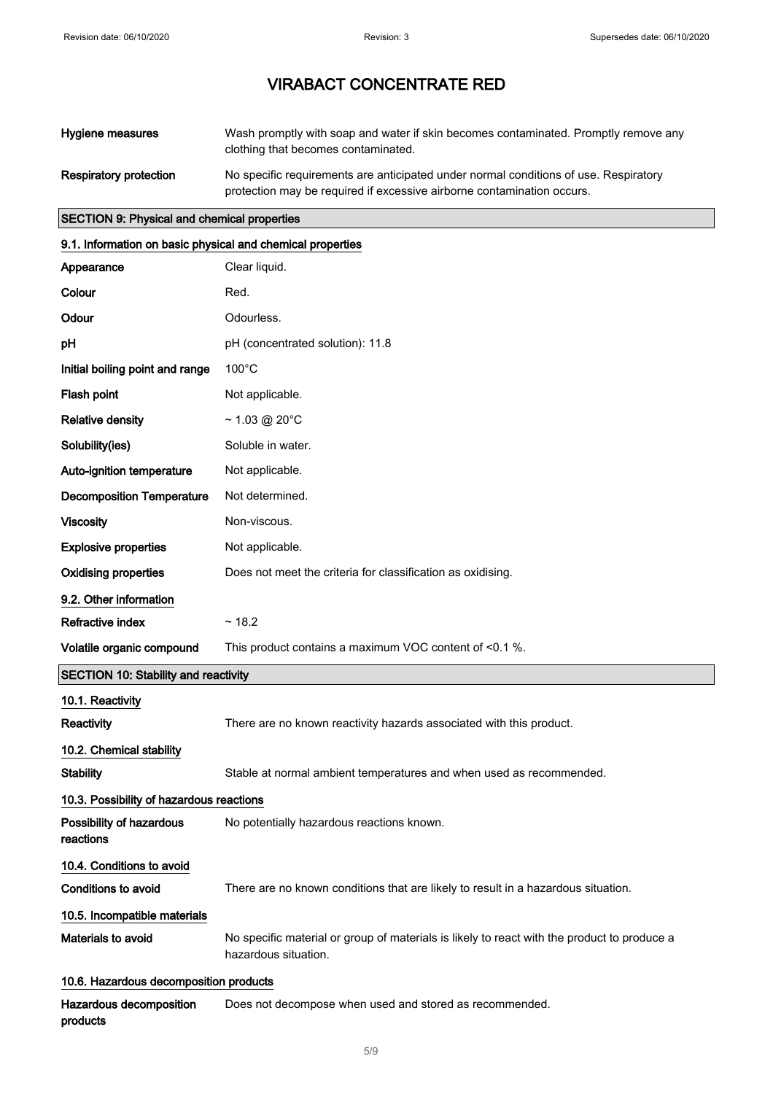| Hygiene measures              | Wash promptly with soap and water if skin becomes contaminated. Promptly remove any<br>clothing that becomes contaminated.                                     |
|-------------------------------|----------------------------------------------------------------------------------------------------------------------------------------------------------------|
| <b>Respiratory protection</b> | No specific requirements are anticipated under normal conditions of use. Respiratory<br>protection may be required if excessive airborne contamination occurs. |

## SECTION 9: Physical and chemical properties

| 9.1. Information on basic physical and chemical properties |                                                                                                                     |  |  |
|------------------------------------------------------------|---------------------------------------------------------------------------------------------------------------------|--|--|
| Appearance                                                 | Clear liquid.                                                                                                       |  |  |
| Colour                                                     | Red.                                                                                                                |  |  |
| Odour                                                      | Odourless.                                                                                                          |  |  |
| рH                                                         | pH (concentrated solution): 11.8                                                                                    |  |  |
| Initial boiling point and range                            | $100^{\circ}$ C                                                                                                     |  |  |
| Flash point                                                | Not applicable.                                                                                                     |  |  |
| <b>Relative density</b>                                    | $\sim$ 1.03 @ 20°C                                                                                                  |  |  |
| Solubility(ies)                                            | Soluble in water.                                                                                                   |  |  |
| Auto-ignition temperature                                  | Not applicable.                                                                                                     |  |  |
| <b>Decomposition Temperature</b>                           | Not determined.                                                                                                     |  |  |
| <b>Viscosity</b>                                           | Non-viscous.                                                                                                        |  |  |
| <b>Explosive properties</b>                                | Not applicable.                                                                                                     |  |  |
| <b>Oxidising properties</b>                                | Does not meet the criteria for classification as oxidising.                                                         |  |  |
| 9.2. Other information                                     |                                                                                                                     |  |  |
| <b>Refractive index</b>                                    | ~18.2                                                                                                               |  |  |
| Volatile organic compound                                  | This product contains a maximum VOC content of <0.1 %.                                                              |  |  |
| <b>SECTION 10: Stability and reactivity</b>                |                                                                                                                     |  |  |
| 10.1. Reactivity                                           |                                                                                                                     |  |  |
| <b>Reactivity</b>                                          | There are no known reactivity hazards associated with this product.                                                 |  |  |
| 10.2. Chemical stability                                   |                                                                                                                     |  |  |
| <b>Stability</b>                                           | Stable at normal ambient temperatures and when used as recommended.                                                 |  |  |
| 10.3. Possibility of hazardous reactions                   |                                                                                                                     |  |  |
| Possibility of hazardous<br>reactions                      | No potentially hazardous reactions known.                                                                           |  |  |
| 10.4. Conditions to avoid                                  |                                                                                                                     |  |  |
| <b>Conditions to avoid</b>                                 | There are no known conditions that are likely to result in a hazardous situation.                                   |  |  |
| 10.5. Incompatible materials                               |                                                                                                                     |  |  |
| Materials to avoid                                         | No specific material or group of materials is likely to react with the product to produce a<br>hazardous situation. |  |  |
| 10.6. Hazardous decomposition products                     |                                                                                                                     |  |  |
| Hazardous decomposition                                    | Does not decompose when used and stored as recommended.                                                             |  |  |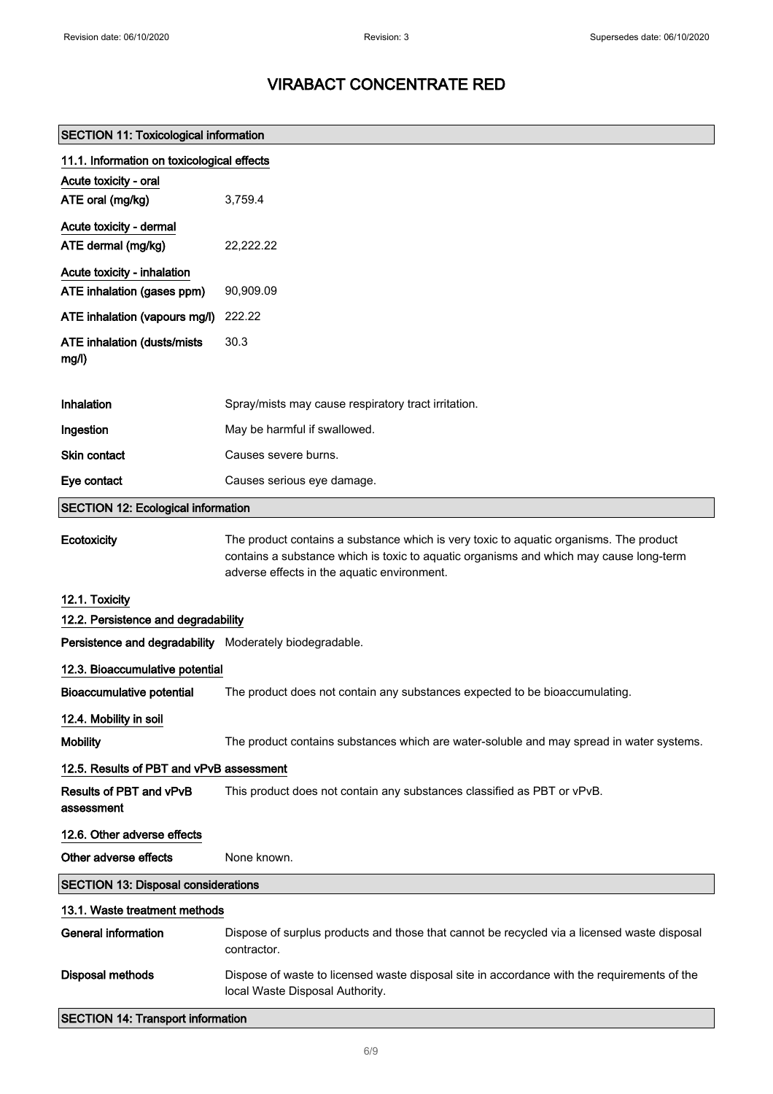r

# VIRABACT CONCENTRATE RED

| <b>SECTION 11: Toxicological information</b>            |                                                                                                                                                                                  |  |
|---------------------------------------------------------|----------------------------------------------------------------------------------------------------------------------------------------------------------------------------------|--|
| 11.1. Information on toxicological effects              |                                                                                                                                                                                  |  |
| Acute toxicity - oral                                   |                                                                                                                                                                                  |  |
| ATE oral (mg/kg)                                        | 3,759.4                                                                                                                                                                          |  |
| Acute toxicity - dermal                                 |                                                                                                                                                                                  |  |
| ATE dermal (mg/kg)                                      | 22,222.22                                                                                                                                                                        |  |
| Acute toxicity - inhalation                             |                                                                                                                                                                                  |  |
| ATE inhalation (gases ppm)                              | 90,909.09                                                                                                                                                                        |  |
| ATE inhalation (vapours mg/l)                           | 222.22                                                                                                                                                                           |  |
| ATE inhalation (dusts/mists                             | 30.3                                                                                                                                                                             |  |
| mg/l)                                                   |                                                                                                                                                                                  |  |
| Inhalation                                              | Spray/mists may cause respiratory tract irritation.                                                                                                                              |  |
| Ingestion                                               | May be harmful if swallowed.                                                                                                                                                     |  |
|                                                         |                                                                                                                                                                                  |  |
| <b>Skin contact</b>                                     | Causes severe burns.                                                                                                                                                             |  |
| Eye contact                                             | Causes serious eye damage.                                                                                                                                                       |  |
| <b>SECTION 12: Ecological information</b>               |                                                                                                                                                                                  |  |
| Ecotoxicity                                             | The product contains a substance which is very toxic to aquatic organisms. The product<br>contains a substance which is toxic to aquatic organisms and which may cause long-term |  |
|                                                         | adverse effects in the aquatic environment.                                                                                                                                      |  |
| 12.1. Toxicity                                          |                                                                                                                                                                                  |  |
| 12.2. Persistence and degradability                     |                                                                                                                                                                                  |  |
| Persistence and degradability Moderately biodegradable. |                                                                                                                                                                                  |  |
| 12.3. Bioaccumulative potential                         |                                                                                                                                                                                  |  |
| Bioaccumulative potential                               | The product does not contain any substances expected to be bioaccumulating.                                                                                                      |  |
| 12.4. Mobility in soil                                  |                                                                                                                                                                                  |  |
| <b>Mobility</b>                                         | The product contains substances which are water-soluble and may spread in water systems.                                                                                         |  |
| 12.5. Results of PBT and vPvB assessment                |                                                                                                                                                                                  |  |
| Results of PBT and vPvB<br>assessment                   | This product does not contain any substances classified as PBT or vPvB.                                                                                                          |  |
| 12.6. Other adverse effects                             |                                                                                                                                                                                  |  |
| Other adverse effects                                   | None known.                                                                                                                                                                      |  |
| <b>SECTION 13: Disposal considerations</b>              |                                                                                                                                                                                  |  |
| 13.1. Waste treatment methods                           |                                                                                                                                                                                  |  |
| <b>General information</b>                              | Dispose of surplus products and those that cannot be recycled via a licensed waste disposal<br>contractor.                                                                       |  |
| <b>Disposal methods</b>                                 | Dispose of waste to licensed waste disposal site in accordance with the requirements of the<br>local Waste Disposal Authority.                                                   |  |
| <b>SECTION 14: Transport information</b>                |                                                                                                                                                                                  |  |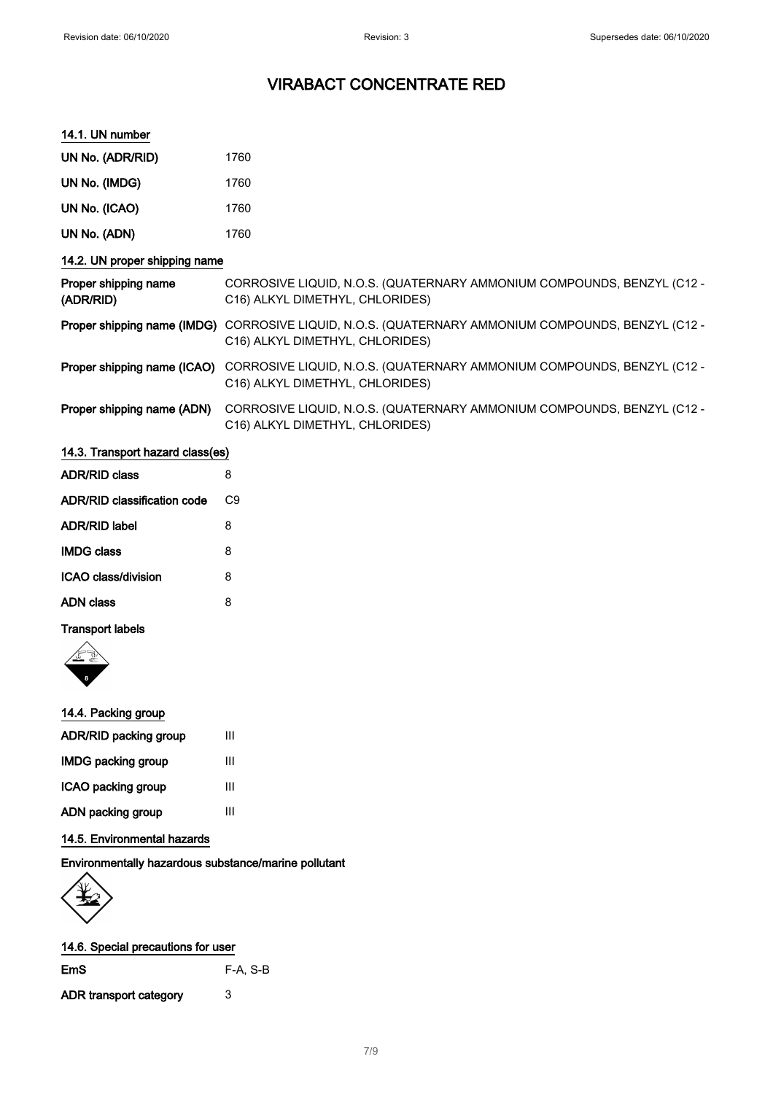#### 14.1. UN number

| UN No. (ADR/RID)                  | 1760                                                                                                      |  |
|-----------------------------------|-----------------------------------------------------------------------------------------------------------|--|
| UN No. (IMDG)                     | 1760                                                                                                      |  |
| UN No. (ICAO)                     | 1760                                                                                                      |  |
| UN No. (ADN)                      | 1760                                                                                                      |  |
| 14.2. UN proper shipping name     |                                                                                                           |  |
| Proper shipping name<br>(ADR/RID) | CORROSIVE LIQUID, N.O.S. (QUATERNARY AMMONIUM COMPOUNDS, BENZYL (C12 -<br>C16) ALKYL DIMETHYL, CHLORIDES) |  |
| Proper shipping name (IMDG)       | CORROSIVE LIQUID, N.O.S. (QUATERNARY AMMONIUM COMPOUNDS, BENZYL (C12 -<br>C16) ALKYL DIMETHYL, CHLORIDES) |  |
| Proper shipping name (ICAO)       | CORROSIVE LIQUID, N.O.S. (QUATERNARY AMMONIUM COMPOUNDS, BENZYL (C12 -<br>C16) ALKYL DIMETHYL, CHLORIDES) |  |
| Proper shipping name (ADN)        | CORROSIVE LIQUID, N.O.S. (QUATERNARY AMMONIUM COMPOUNDS, BENZYL (C12 -<br>C16) ALKYL DIMETHYL, CHLORIDES) |  |
| 14.3. Transport hazard class(es)  |                                                                                                           |  |

| <b>ADR/RID class</b>        | 8  |
|-----------------------------|----|
| ADR/RID classification code | C۹ |
| ADR/RID label               | 8  |
| <b>IMDG class</b>           | 8  |
| ICAO class/division         | 8  |
| ADN class                   | 8  |
|                             |    |

### Transport labels



| 14.4. Packing group   |   |
|-----------------------|---|
| ADR/RID packing group | Ш |
| IMDG packing group    | Ш |
| ICAO packing group    | Ш |
| ADN packing group     | Ш |

### 14.5. Environmental hazards

Environmentally hazardous substance/marine pollutant



| 14.6. Special precautions for user |          |  |
|------------------------------------|----------|--|
| EmS                                | F-A. S-B |  |

ADR transport category 3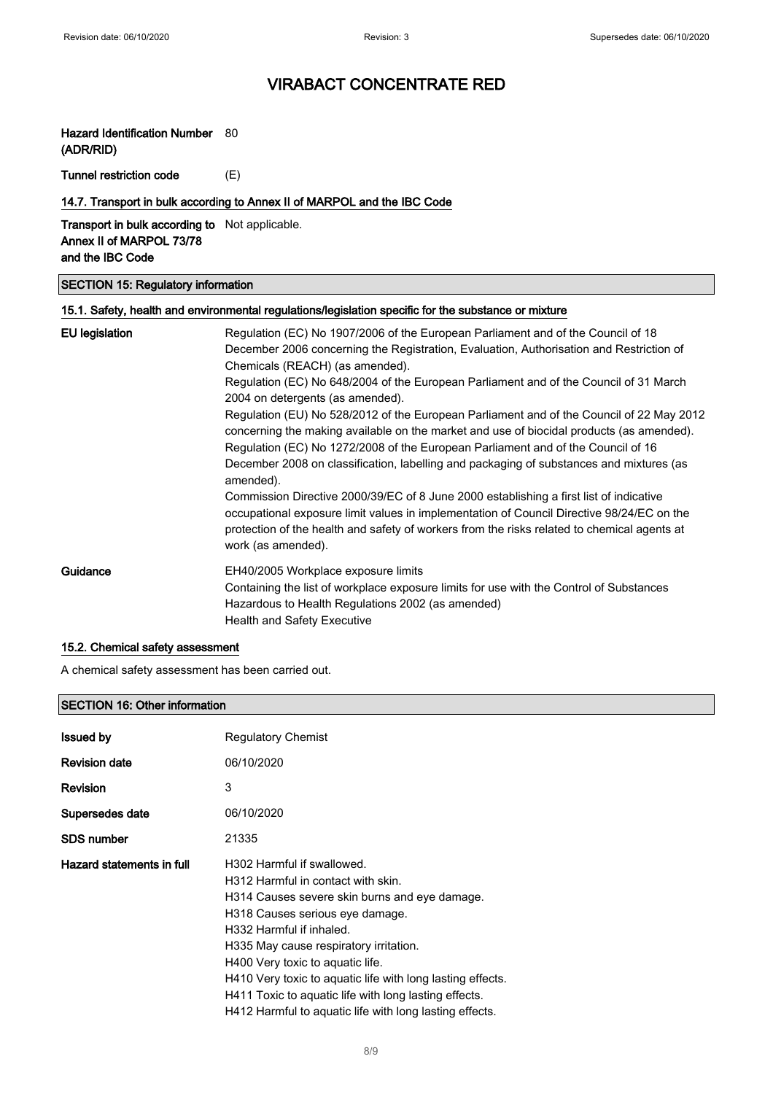## Hazard Identification Number 80

(ADR/RID)

Tunnel restriction code (E)

### 14.7. Transport in bulk according to Annex II of MARPOL and the IBC Code

### Transport in bulk according to Not applicable. Annex II of MARPOL 73/78 and the IBC Code

#### SECTION 15: Regulatory information

### 15.1. Safety, health and environmental regulations/legislation specific for the substance or mixture

| <b>EU</b> legislation | Regulation (EC) No 1907/2006 of the European Parliament and of the Council of 18<br>December 2006 concerning the Registration, Evaluation, Authorisation and Restriction of<br>Chemicals (REACH) (as amended).<br>Regulation (EC) No 648/2004 of the European Parliament and of the Council of 31 March<br>2004 on detergents (as amended).<br>Regulation (EU) No 528/2012 of the European Parliament and of the Council of 22 May 2012<br>concerning the making available on the market and use of biocidal products (as amended).<br>Regulation (EC) No 1272/2008 of the European Parliament and of the Council of 16<br>December 2008 on classification, labelling and packaging of substances and mixtures (as<br>amended).<br>Commission Directive 2000/39/EC of 8 June 2000 establishing a first list of indicative<br>occupational exposure limit values in implementation of Council Directive 98/24/EC on the<br>protection of the health and safety of workers from the risks related to chemical agents at<br>work (as amended). |
|-----------------------|---------------------------------------------------------------------------------------------------------------------------------------------------------------------------------------------------------------------------------------------------------------------------------------------------------------------------------------------------------------------------------------------------------------------------------------------------------------------------------------------------------------------------------------------------------------------------------------------------------------------------------------------------------------------------------------------------------------------------------------------------------------------------------------------------------------------------------------------------------------------------------------------------------------------------------------------------------------------------------------------------------------------------------------------|
| Guidance              | EH40/2005 Workplace exposure limits<br>Containing the list of workplace exposure limits for use with the Control of Substances<br>Hazardous to Health Regulations 2002 (as amended)<br><b>Health and Safety Executive</b>                                                                                                                                                                                                                                                                                                                                                                                                                                                                                                                                                                                                                                                                                                                                                                                                                   |

### 15.2. Chemical safety assessment

A chemical safety assessment has been carried out.

#### SECTION 16: Other information

| <b>Issued by</b>          | <b>Regulatory Chemist</b>                                                                                                                                                                                                                                                                                                                                                                                                                        |
|---------------------------|--------------------------------------------------------------------------------------------------------------------------------------------------------------------------------------------------------------------------------------------------------------------------------------------------------------------------------------------------------------------------------------------------------------------------------------------------|
| <b>Revision date</b>      | 06/10/2020                                                                                                                                                                                                                                                                                                                                                                                                                                       |
| <b>Revision</b>           | 3                                                                                                                                                                                                                                                                                                                                                                                                                                                |
| Supersedes date           | 06/10/2020                                                                                                                                                                                                                                                                                                                                                                                                                                       |
| <b>SDS number</b>         | 21335                                                                                                                                                                                                                                                                                                                                                                                                                                            |
| Hazard statements in full | H302 Harmful if swallowed.<br>H312 Harmful in contact with skin.<br>H314 Causes severe skin burns and eye damage.<br>H318 Causes serious eye damage.<br>H332 Harmful if inhaled.<br>H335 May cause respiratory irritation.<br>H400 Very toxic to aquatic life.<br>H410 Very toxic to aquatic life with long lasting effects.<br>H411 Toxic to aquatic life with long lasting effects.<br>H412 Harmful to aquatic life with long lasting effects. |